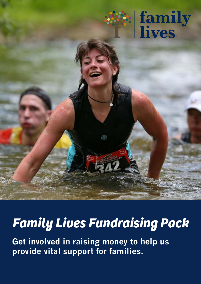

### *Family Lives Fundraising Pack*

**Get involved in raising money to help us provide vital support for families.**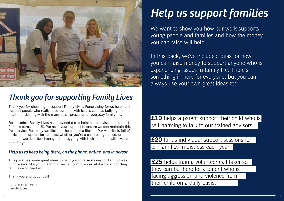Thank you for choosing to support Family Lives. Fundraising for us helps us to support people who really need our help with issues such as bullying, mental health, or dealing with the many other pressures of everyday family life.

For decades, Family Lives has provided a free helpline to advise and support families across the UK. We need your support to ensure we can maintain this free service. For many families, our helpline is a lifeline. Our website is full of advice and support for families; whether you're a child being bullied, or a parent worried their teenager is struggling with their mental health, we're here for you.

We want to show you how our work supports young people and families and how the money you can raise will help.

#### *Help us to keep being there, on the phone, online, and in person.*

This pack has some great ideas to help you to raise money for Family Lives. Fundraisers, like you, mean that we can continue our vital work supporting families who need us.

£25 helps train a volunteer call taker so they can be there for a parent who is facing aggression and violence from their child on a daily basis.

Thank you and good luck!

Fundraising Team Family Lives



### *Thank you for supporting Family Lives*

# *Help us support families*

In this pack, we've included ideas for how you can raise money to support anyone who is experiencing issues in family life. There's something in here for everyone, but you can always use your own great ideas too.

**£10** helps a parent support their child who is self-harming to talk to our trained advisors

**£20** funds individual support sessions for ten families in distress each year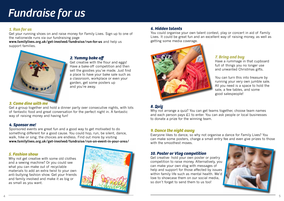#### *2. Yummy bake off*

Get creative with the flour and eggs! Have a bake-off competition and then sell the goodies you've made. Just find a place to have your bake sale such as a classroom, workplace or even your garden, get some posters up and you're away.

#### *5. Fashion show*

Why not get creative with some old clothes and a sewing machine? Or you could see what you can make out of recyclable materials to add an extra twist to your own anti-bullying fashion show. Get your friends and family involved and make it as big or as small as you want.

#### *6. Hidden talents*

You could organise your own talent contest, play or concert in aid of Family Lives. It could be great fun and an excellent way of raising money, as well as getting some media coverage.





## **Fundraise for us**

#### *1. Run for us*

Get your running shoes on and raise money for Family Lives. Sign up to one of the nationwide runs via our fundraising page

**www.familylives.org.uk/get-involved/fundraise/run-for-us** and help us support families.



Get creative- hold your own poster or poetry competition to raise money. Alternatively, you can make your own vlog with messages of help and support for those affected by issues within family life such as mental health. We'd love to showcase them on our social media, so don't forget to send them to us too!

#### *7. Bring and buy*

Have a rummage in that cupboard full of things you no longer use and unwanted Christmas gifts.

You can turn this into treasure by running your very own jumble sale. All you need is a space to hold the sale, a few tables, and some good salespeople!



#### *8. Quiz*

Why not arrange a quiz? You can get teams together, choose team names and each person pays £1 to enter. You can ask people or local businesses to donate a prize for the winning team.

#### *9. Dance the night away*

Everyone likes to dance, so why not organise a dance for Family Lives? You can make some posters, charge a small entry fee and even give prizes to those with the smoothest moves.

#### *10. Poster or Vlog competition*

#### *3. Come dine with me*

Get a group together and hold a dinner party over consecutive nights, with lots of fantastic food and great conversation for the perfect night in. A fantastic way of raising money and having fun!

#### *4. Sponsor me!*

Sponsored events are great fun and a good way to get motivated to do something different for a good cause. You could hop, run, be silent, dance, walk, hike or sing; the choices are endless. Find out more by visiting **www.familylives.org.uk/get-involved/fundraise/run-an-event-in-your-area/**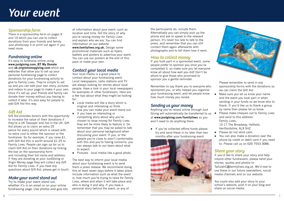the participants do, include them. Alternatively you can simply pick up the phone and ask to speak to the relevant person. It's never too late to talk to the press, and remember that you can still contact them again afterwards with photographs and to tell them how it went.

#### *How to collect money*

If you took part in a sponsored event, some people prefer to sponsor you once you've completed it, so make sure you let everyone know all about how well you did! Don't be afraid to give those who promised to sponsor you a gentle reminder.

**.** If you've collected offline funds please try and send these in no later than two months after your fundraising event.





Remember to say thank you to everyone who sponsored you, or who helped you organise your fundraising event, and let people know how much money you raised.

#### *Sending us your money*

- Make sure you let us know your name and the event you took part in when sending in your funds so we know who to thank. If you'd like us to thank a group by name then please let us know.
- Please make cheques out to Family Lives and send to this address: Family Lives, 15-17 The Broadway, Hatfield,
- Hertfordshire, AL9 5HZ
- Please do not send cash.
- You can also make a donation over the phone by credit or debit card if you need to. Please call us on 020 7553 3086.

Anything you've raised online through Just Giving will automatically be transferred to us at **www.justgiving.com/familylives** so you won't need to do anything there.

Please remember to send in any sponsorship forms with the donations so we can claim the Gift Aid.

It's easy to fundraise online using **www.justgiving.com, BT My Donate** and **uk.virginmoneygiving.com** which are websites that allow you to set up your personal fundraising page to collect donations for your fundraising activity to give to Family Lives. They're simple to set up and you can add your own story, pictures and videos to your page to make it your own. Once it's set up, your friends and family can donate their money without you having to collect it later. It's also easy for people to add Gift Aid this way.

#### *Share your story*

If you'd like to share your story and help inspire other fundraisers, please send your stories, quotes and photos to

TallulahC@familylives.org.uk. We'd love to use these in our future newsletters, social media channels and on our website.

You could also add your story to your school's website, post it on your blog and share on social media.

#### *Sponsorship form*

There is a sponsorship form on pages 9 and 10 which you can use to collect donations from your friends and family. Just photocopy it or print out again if you need more.

#### *Fundraising online*

#### *Gift Aid*

Gift Aid provides donors with the opportunity to increase the value of their donations if they're a UK Taxpayer and live in the UK. Gift Aid allows us to claim an extra 25 pence for every pound which is raised with no extra cost to either the sponsor or the fundraiser. So for example, if you raise £1, with Gift Aid this is worth around £1.25 to Family Lives. People can sign up for us to claim Gift Aid on their donations by ticking the box on the sponsorship form and including their full name and address. If they are donating at your JustGiving or Virgin Money page they will collect any Gift Aid for Family Lives. If you have any questions about Gift Aid, please get in touch.

#### *Make your event stand out*

Try to make your event stand out, whether it's in an email or on your online fundraising page. Use photos and give lots of information about your event, such as location and time. Tell the story of why you're raising money for Family Lives and explain who we are. You can find information on our website **www.familylives.org.uk.** Design some promotional materials such as flyers, leaflets and posters to advertise your event. You can use our posters at the end of this pack or make your own.

#### *Contact your local media*

Your local media is a great place to contact about your fundraising event. Local newspapers, radio stations and TV are always looking for stories about local people. Have a look in your local newspapers for examples of other fundraisers. Here are a few tips about what they might be looking for:

- $\bullet$  Local media will like a story which is original and interesting so think how you can make your event stand out.
- $\bullet$  If you have an interesting or compelling story about why you've chosen to raise money for Family Lives, they will be more likely to feature it. Do remember that you may be asked to talk about your personal background when discussing your event. If you, or the people you're close to aren't comfortable with this and you're having concerns, you can always talk to our team about what to expect.
- $\bullet$  Pictures local media like a good photo.

The best way to inform your local media about your fundraising event is to send them a press release. We recommend doing this at least seven days before it takes place. Include information such as what the event is, how much you're trying to raise for Family Lives, where and when it will take place and who is doing it and why. If you have a personal story behind the event, or any of

### *Your event*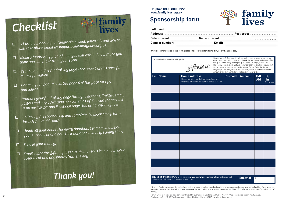

### **Sponsorship form**

o *Let us know about your fundraising event, when it is and where it will take place, email us supportus@familylives.org.uk.*

**family**<br>lives

- o *Make a fundraising plan of who you will ask and how much you think you can make from your event.*
- o *Set up your online fundraising page - see page 6 of this pack for more information.*
- $\Box$  *Contact your local media. See page 6 of this pack for tips and advice.*
- o *Promote your fundraising page through Facebook, Twitter, email, posters and any other way you can think of. You can connect with us on our Twitter and Facebook pages too using @familylives.*
- o *Collect offline sponsorship and complete the sponsorship form included with this pack.*
- o *Thank all your donors for every donation. Let them know how your event went and how their donation will help Family Lives.*
- o*Send in your money.*
- o *Email supportus@familylives.org.uk and let us know how your event went and any photos from the day.*

| <b>Full Name</b>                                       | <b>Home Address</b><br>Please provide your full home address and<br>postcode otherwise we cannot collect Gift Aid | Postcode Amount |                 | Gift<br>Aid                      | Opt<br>$in$ <sup>*</sup><br>See below |
|--------------------------------------------------------|-------------------------------------------------------------------------------------------------------------------|-----------------|-----------------|----------------------------------|---------------------------------------|
|                                                        |                                                                                                                   |                 |                 |                                  |                                       |
|                                                        |                                                                                                                   |                 |                 |                                  |                                       |
|                                                        |                                                                                                                   |                 |                 |                                  |                                       |
|                                                        |                                                                                                                   |                 |                 |                                  |                                       |
|                                                        |                                                                                                                   |                 |                 |                                  |                                       |
|                                                        |                                                                                                                   |                 |                 |                                  |                                       |
|                                                        |                                                                                                                   |                 |                 |                                  |                                       |
|                                                        |                                                                                                                   |                 |                 |                                  |                                       |
|                                                        |                                                                                                                   |                 |                 |                                  |                                       |
|                                                        |                                                                                                                   |                 |                 |                                  |                                       |
| online sponsorship page - it's free and simple to use. | ONLINE SPONSORSHIP: Why not log on to www.justgiving.com/familylives and create and                               |                 | <b>Subtotal</b> | $\pmb{\pmb{\pmb{\pmb{\cdot}}} }$ |                                       |

Do you pay tax? If so your gift will be worth a quarter more to us - at no A donation is worth more with giftaid extra cost to you. All you have to do is tick the box below, and the tax office will give 25p for every pound you give. I am a UK taxpayer and I would giftaid it like Family Lives to claim Gift Aid on my donation below. I understand that I must pay an amount of Income Tax and/or Capital Gains Tax for each tax year (6 April one year to 5 April the next) that is at least equal to the amount of tax that Family Lives will reclaim on my gifts.

### *Thank you!*

# *Checklist*

**Helpline 0808 800 2222 www.familylives.org.uk**

\* Opt in - Family Lives would like to hold your details in order to contact you about our fundraising, campaigning and services for families. If you would be happy for us to use your details in this way please tick the last box in the table above. Please see our Privacy Policy for information www.familylives.org.uk/ privacy/

If you need more copies of this form, please photocopy it before filling it in, or print another copy

Family Lives is registered as a company limited by guarantee in England and Wales No. 3817762. Registered charity No.1077722. Registered office: 15-17 The Broadway, Hatfield, Hertfordshire, AL9 5HZ. www.familylives.org.uk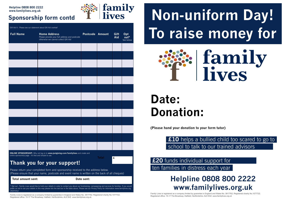Gift Aid It - Please see our statement about Gift Aid overleaf

uk/privacy/

| <b>Full Name</b>                                                                                                                                                                                                                                                                                                             | <b>Home Address</b><br>Please provide your full address and postcode<br>otherwise we cannot collect Gift Aid | <b>Postcode Amount</b> |  | Gift<br>Aid | Opt<br>out*<br>See below |  |  |  |
|------------------------------------------------------------------------------------------------------------------------------------------------------------------------------------------------------------------------------------------------------------------------------------------------------------------------------|--------------------------------------------------------------------------------------------------------------|------------------------|--|-------------|--------------------------|--|--|--|
|                                                                                                                                                                                                                                                                                                                              |                                                                                                              |                        |  |             |                          |  |  |  |
|                                                                                                                                                                                                                                                                                                                              |                                                                                                              |                        |  |             |                          |  |  |  |
|                                                                                                                                                                                                                                                                                                                              |                                                                                                              |                        |  |             |                          |  |  |  |
|                                                                                                                                                                                                                                                                                                                              |                                                                                                              |                        |  |             |                          |  |  |  |
|                                                                                                                                                                                                                                                                                                                              |                                                                                                              |                        |  |             |                          |  |  |  |
|                                                                                                                                                                                                                                                                                                                              |                                                                                                              |                        |  |             |                          |  |  |  |
|                                                                                                                                                                                                                                                                                                                              |                                                                                                              |                        |  |             |                          |  |  |  |
|                                                                                                                                                                                                                                                                                                                              |                                                                                                              |                        |  |             |                          |  |  |  |
|                                                                                                                                                                                                                                                                                                                              |                                                                                                              |                        |  |             |                          |  |  |  |
|                                                                                                                                                                                                                                                                                                                              |                                                                                                              |                        |  |             |                          |  |  |  |
|                                                                                                                                                                                                                                                                                                                              |                                                                                                              |                        |  |             |                          |  |  |  |
|                                                                                                                                                                                                                                                                                                                              |                                                                                                              |                        |  |             |                          |  |  |  |
|                                                                                                                                                                                                                                                                                                                              |                                                                                                              |                        |  |             |                          |  |  |  |
| ONLINE SPONSORSHIP: Why not log on to www.justgiving.com/familylives and create and<br>online sponsorship page - it's free and simple to use.<br><b>Total</b><br>£                                                                                                                                                           |                                                                                                              |                        |  |             |                          |  |  |  |
| Thank you for your support!                                                                                                                                                                                                                                                                                                  |                                                                                                              |                        |  |             |                          |  |  |  |
| Please return your completed form and sponsorship received to the address below.<br>(Please ensure that your name, postcode and event name is written on the back of all cheques)                                                                                                                                            |                                                                                                              |                        |  |             |                          |  |  |  |
| <b>Total amount sent:</b><br>Date sent:                                                                                                                                                                                                                                                                                      |                                                                                                              |                        |  |             |                          |  |  |  |
| * Opt out - Family Lives would like to hold your details in order to contact you about our fundraising, campaigning and services for families. If you would<br>prefer us not to use your details in this way please tick the last box in the table above. Please see our Privacy Policy for information www.familylives.org. |                                                                                                              |                        |  |             |                          |  |  |  |

Family Lives is registered as a company limited by guarantee in England and Wales No. 3817762. Registered charity No.1077722. Registered office: 15-17 The Broadway, Hatfield, Hertfordshire, AL9 5HZ. www.familylives.org.uk

# **Helpline 0808 800 2222**<br> **Sponsorship form contd form Contagraphy non-uniform Day! To raise money for**  | family<br>|ives



### **Sponsorship form contd**

### **Helpline 0808 800 2222**

# **Date: Donation:**

**(Please hand your donation to your form tutor)**

### **Helpline 0808 800 2222 www.familylives.org.uk**

# **£10** helps a bullied child too scared to go to



school to talk to our trained advisors

**£20** funds individual support for ten families in distress each year

Family Lives is registered as a company limited by guarantee in England and Wales No. 3817762. Registered charity No.1077722. Registered office: 15-17 The Broadway, Hatfield, Hertfordshire, AL9 5HZ. www.familylives.org.uk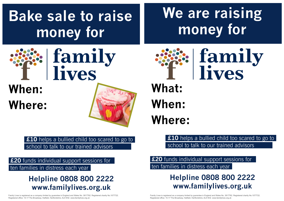# **Bake sale to raise money for**

# **When: Where:**

**£10** helps a bullied child too scared to go to school to talk to our trained advisors

### **Helpline 0808 800 2222 www.familylives.org.uk**

**£20** funds individual support sessions for ten families in distress each year

Family Lives is registered as a company limited by guarantee in England and Wales No. 3817762. Registered charity No.1077722. Registered office: 15-17 The Broadway, Hatfield, Hertfordshire, AL9 5HZ. www.familylives.org.uk



**£20** funds individual support sessions for ten families in distress each year

# **We are raising money for**



family lives

**What: When: Where:**

Family Lives is registered as a company limited by guarantee in England and Wales No. 3817762. Registered charity No.1077722. Registered office: 15-17 The Broadway, Hatfield, Hertfordshire, AL9 5HZ. www.familylives.org.uk

# family lives

### **Helpline 0808 800 2222 www.familylives.org.uk**

# **£10** helps a bullied child too scared to go to

school to talk to our trained advisors